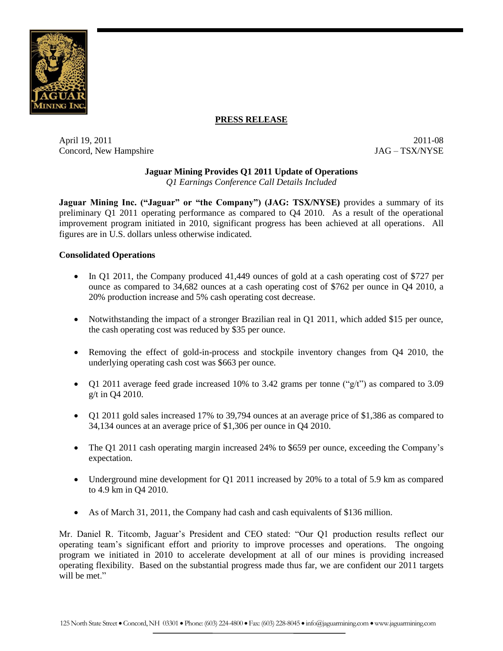

# **PRESS RELEASE**

April 19, 2011 2011-08 Concord, New Hampshire  $JAG - TSX/NYSE$ 

# **Jaguar Mining Provides Q1 2011 Update of Operations**

*Q1 Earnings Conference Call Details Included*

**Jaguar Mining Inc. ("Jaguar" or "the Company") (JAG: TSX/NYSE)** provides a summary of its preliminary Q1 2011 operating performance as compared to Q4 2010. As a result of the operational improvement program initiated in 2010, significant progress has been achieved at all operations. All figures are in U.S. dollars unless otherwise indicated.

#### **Consolidated Operations**

- In Q1 2011, the Company produced 41,449 ounces of gold at a cash operating cost of \$727 per ounce as compared to 34,682 ounces at a cash operating cost of \$762 per ounce in Q4 2010, a 20% production increase and 5% cash operating cost decrease.
- Notwithstanding the impact of a stronger Brazilian real in Q1 2011, which added \$15 per ounce, the cash operating cost was reduced by \$35 per ounce.
- Removing the effect of gold-in-process and stockpile inventory changes from Q4 2010, the underlying operating cash cost was \$663 per ounce.
- Q1 2011 average feed grade increased 10% to 3.42 grams per tonne (" $g/t$ ") as compared to 3.09 g/t in Q4 2010.
- Q1 2011 gold sales increased 17% to 39,794 ounces at an average price of \$1,386 as compared to 34,134 ounces at an average price of \$1,306 per ounce in Q4 2010.
- The Q1 2011 cash operating margin increased 24% to \$659 per ounce, exceeding the Company's expectation.
- Underground mine development for Q1 2011 increased by 20% to a total of 5.9 km as compared to 4.9 km in Q4 2010.
- As of March 31, 2011, the Company had cash and cash equivalents of \$136 million.

Mr. Daniel R. Titcomb, Jaguar's President and CEO stated: "Our Q1 production results reflect our operating team's significant effort and priority to improve processes and operations. The ongoing program we initiated in 2010 to accelerate development at all of our mines is providing increased operating flexibility. Based on the substantial progress made thus far, we are confident our 2011 targets will be met."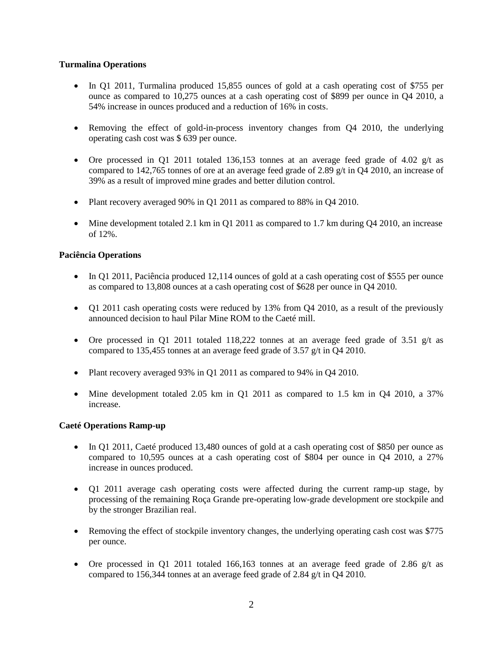## **Turmalina Operations**

- In Q1 2011, Turmalina produced 15,855 ounces of gold at a cash operating cost of \$755 per ounce as compared to 10,275 ounces at a cash operating cost of \$899 per ounce in Q4 2010, a 54% increase in ounces produced and a reduction of 16% in costs.
- Removing the effect of gold-in-process inventory changes from Q4 2010, the underlying operating cash cost was \$ 639 per ounce.
- Ore processed in Q1 2011 totaled 136,153 tonnes at an average feed grade of 4.02  $g/t$  as compared to 142,765 tonnes of ore at an average feed grade of 2.89 g/t in Q4 2010, an increase of 39% as a result of improved mine grades and better dilution control.
- Plant recovery averaged 90% in Q1 2011 as compared to 88% in Q4 2010.
- Mine development totaled 2.1 km in Q1 2011 as compared to 1.7 km during Q4 2010, an increase of 12%.

## **Paciência Operations**

- In Q1 2011, Paciência produced 12,114 ounces of gold at a cash operating cost of \$555 per ounce as compared to 13,808 ounces at a cash operating cost of \$628 per ounce in Q4 2010.
- Q1 2011 cash operating costs were reduced by 13% from Q4 2010, as a result of the previously announced decision to haul Pilar Mine ROM to the Caeté mill.
- Ore processed in Q1 2011 totaled 118,222 tonnes at an average feed grade of 3.51  $g/t$  as compared to 135,455 tonnes at an average feed grade of 3.57 g/t in Q4 2010.
- Plant recovery averaged 93% in O1 2011 as compared to 94% in O4 2010.
- Mine development totaled 2.05 km in Q1 2011 as compared to 1.5 km in Q4 2010, a 37% increase.

### **Caeté Operations Ramp-up**

- In Q1 2011, Caeté produced 13,480 ounces of gold at a cash operating cost of \$850 per ounce as compared to 10,595 ounces at a cash operating cost of \$804 per ounce in Q4 2010, a 27% increase in ounces produced.
- Q1 2011 average cash operating costs were affected during the current ramp-up stage, by processing of the remaining Roça Grande pre-operating low-grade development ore stockpile and by the stronger Brazilian real.
- Removing the effect of stockpile inventory changes, the underlying operating cash cost was \$775 per ounce.
- Ore processed in Q1 2011 totaled 166,163 tonnes at an average feed grade of 2.86  $g/t$  as compared to 156,344 tonnes at an average feed grade of 2.84 g/t in Q4 2010.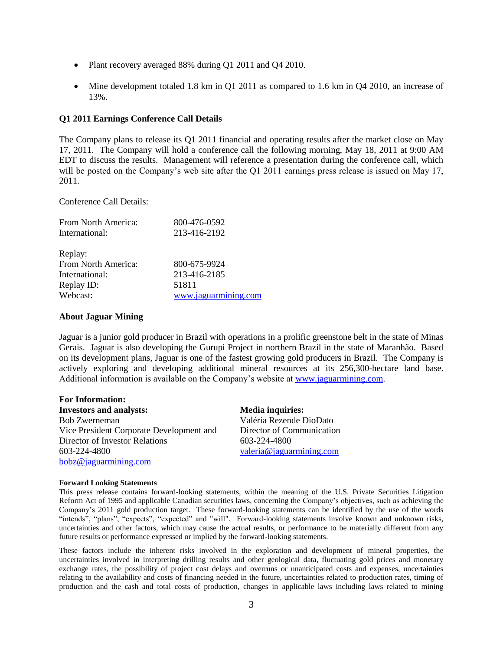- Plant recovery averaged 88% during Q1 2011 and Q4 2010.
- Mine development totaled 1.8 km in Q1 2011 as compared to 1.6 km in Q4 2010, an increase of 13%.

#### **Q1 2011 Earnings Conference Call Details**

The Company plans to release its Q1 2011 financial and operating results after the market close on May 17, 2011. The Company will hold a conference call the following morning, May 18, 2011 at 9:00 AM EDT to discuss the results. Management will reference a presentation during the conference call, which will be posted on the Company's web site after the Q1 2011 earnings press release is issued on May 17, 2011.

Conference Call Details:

| From North America: | 800-476-0592         |
|---------------------|----------------------|
| International:      | 213-416-2192         |
| Replay:             |                      |
| From North America: | 800-675-9924         |
| International:      | 213-416-2185         |
| Replay ID:          | 51811                |
| Webcast:            | www.jaguarmining.com |

#### **About Jaguar Mining**

Jaguar is a junior gold producer in Brazil with operations in a prolific greenstone belt in the state of Minas Gerais. Jaguar is also developing the Gurupi Project in northern Brazil in the state of Maranhão. Based on its development plans, Jaguar is one of the fastest growing gold producers in Brazil. The Company is actively exploring and developing additional mineral resources at its 256,300-hectare land base. Additional information is available on the Company's website at [www.jaguarmining.com.](http://www.jaguarmining.com/)

| <b>For Information:</b>                  |                           |
|------------------------------------------|---------------------------|
| <b>Investors and analysts:</b>           | <b>Media inquiries:</b>   |
| <b>Bob Zwerneman</b>                     | Valéria Rezende DioDato   |
| Vice President Corporate Development and | Director of Communication |
| Director of Investor Relations           | 603-224-4800              |
| 603-224-4800                             | valeria@jaguarmining.com  |
| bobz@jaguarmining.com                    |                           |

#### **Forward Looking Statements**

This press release contains forward-looking statements, within the meaning of the U.S. Private Securities Litigation Reform Act of 1995 and applicable Canadian securities laws, concerning the Company's objectives, such as achieving the Company's 2011 gold production target. These forward-looking statements can be identified by the use of the words "intends", "plans", "expects", "expected" and "will". Forward-looking statements involve known and unknown risks, uncertainties and other factors, which may cause the actual results, or performance to be materially different from any future results or performance expressed or implied by the forward-looking statements.

These factors include the inherent risks involved in the exploration and development of mineral properties, the uncertainties involved in interpreting drilling results and other geological data, fluctuating gold prices and monetary exchange rates, the possibility of project cost delays and overruns or unanticipated costs and expenses, uncertainties relating to the availability and costs of financing needed in the future, uncertainties related to production rates, timing of production and the cash and total costs of production, changes in applicable laws including laws related to mining